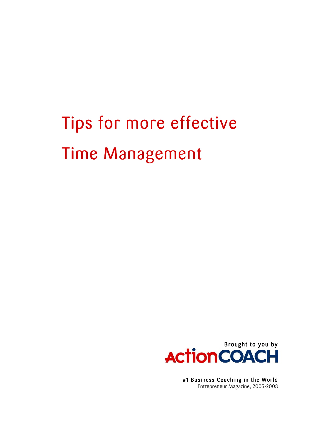# Tips for more effective **Time Management**



#1 Business Coaching in the World Entrepreneur Magazine, 2005-2008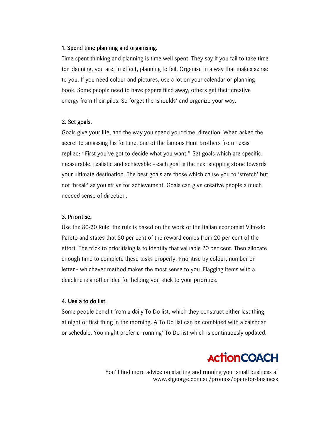## 1. Spend time planning and organising.

Time spent thinking and planning is time well spent. They say if you fail to take time for planning, you are, in effect, planning to fail. Organise in a way that makes sense to you. If you need colour and pictures, use a lot on your calendar or planning book. Some people need to have papers filed away; others get their creative energy from their piles. So forget the 'shoulds' and organize your way.

#### 2. Set goals.

Goals give your life, and the way you spend your time, direction. When asked the secret to amassing his fortune, one of the famous Hunt brothers from Texas replied: "First you've got to decide what you want." Set goals which are specific, measurable, realistic and achievable - each goal is the next stepping stone towards your ultimate destination. The best goals are those which cause you to 'stretch' but not 'break' as you strive for achievement. Goals can give creative people a much needed sense of direction.

#### 3. Prioritise.

Use the 80-20 Rule: the rule is based on the work of the Italian economist Vilfredo Pareto and states that 80 per cent of the reward comes from 20 per cent of the effort. The trick to prioritising is to identify that valuable 20 per cent. Then allocate enough time to complete these tasks properly. Prioritise by colour, number or letter - whichever method makes the most sense to you. Flagging items with a deadline is another idea for helping you stick to your priorities.

#### 4. Use a to do list.

Some people benefit from a daily To Do list, which they construct either last thing at night or first thing in the morning. A To Do list can be combined with a calendar or schedule. You might prefer a 'running' To Do list which is continuously updated.

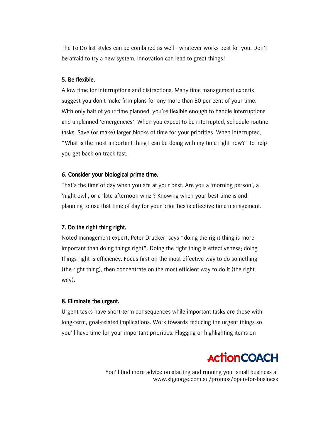The To Do list styles can be combined as well - whatever works best for you. Don't be afraid to try a new system. Innovation can lead to great things!

## 5. Be flexible.

Allow time for interruptions and distractions. Many time management experts suggest you don't make firm plans for any more than 50 per cent of your time. With only half of your time planned, you're flexible enough to handle interruptions and unplanned 'emergencies'. When you expect to be interrupted, schedule routine tasks. Save (or make) larger blocks of time for your priorities. When interrupted, "What is the most important thing I can be doing with my time right now?" to help you get back on track fast.

# 6. Consider your biological prime time.

That's the time of day when you are at your best. Are you a 'morning person', a 'night owl', or a 'late afternoon whiz'? Knowing when your best time is and planning to use that time of day for your priorities is effective time management.

# 7. Do the right thing right.

Noted management expert, Peter Drucker, says "doing the right thing is more important than doing things right". Doing the right thing is effectiveness; doing things right is efficiency. Focus first on the most effective way to do something (the right thing), then concentrate on the most efficient way to do it (the right way).

## 8. Eliminate the urgent.

Urgent tasks have short-term consequences while important tasks are those with long-term, goal-related implications. Work towards reducing the urgent things so you'll have time for your important priorities. Flagging or highlighting items on

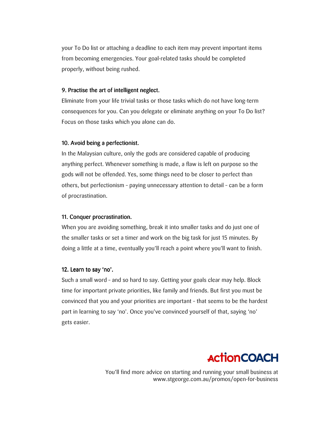your To Do list or attaching a deadline to each item may prevent important items from becoming emergencies. Your goal-related tasks should be completed properly, without being rushed.

## 9. Practise the art of intelligent neglect.

Eliminate from your life trivial tasks or those tasks which do not have long-term consequences for you. Can you delegate or eliminate anything on your To Do list? Focus on those tasks which you alone can do.

# 10. Avoid being a perfectionist.

In the Malaysian culture, only the gods are considered capable of producing anything perfect. Whenever something is made, a flaw is left on purpose so the gods will not be offended. Yes, some things need to be closer to perfect than others, but perfectionism - paying unnecessary attention to detail - can be a form of procrastination.

## 11. Conquer procrastination.

When you are avoiding something, break it into smaller tasks and do just one of the smaller tasks or set a timer and work on the big task for just 15 minutes. By doing a little at a time, eventually you'll reach a point where you'll want to finish.

## 12. Learn to say 'no'.

Such a small word - and so hard to say. Getting your goals clear may help. Block time for important private priorities, like family and friends. But first you must be convinced that you and your priorities are important - that seems to be the hardest part in learning to say 'no'. Once you've convinced yourself of that, saying 'no' gets easier.